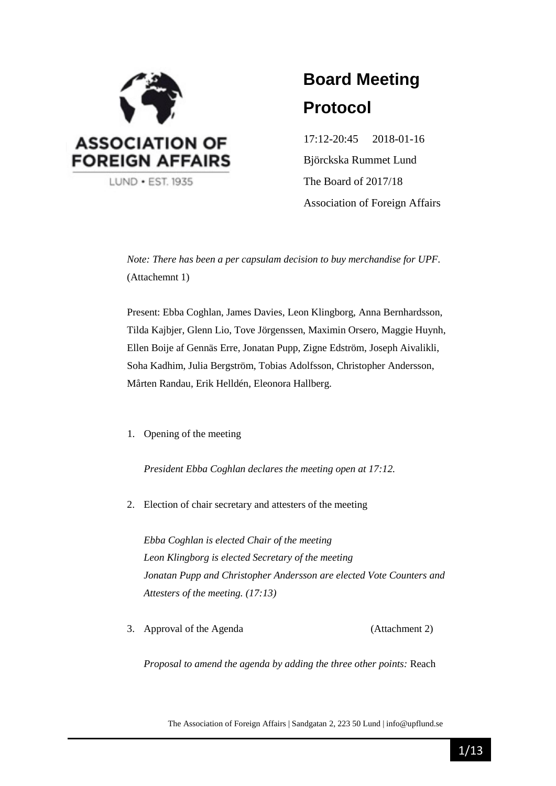

# **Board Meeting Protocol**

17:12-20:45 2018-01-16 Björckska Rummet Lund The Board of 2017/18 Association of Foreign Affairs

*Note: There has been a per capsulam decision to buy merchandise for UPF.* (Attachemnt 1)

Present: Ebba Coghlan, James Davies, Leon Klingborg, Anna Bernhardsson, Tilda Kajbjer, Glenn Lio, Tove Jörgenssen, Maximin Orsero, Maggie Huynh, Ellen Boije af Gennäs Erre, Jonatan Pupp, Zigne Edström, Joseph Aivalikli, Soha Kadhim, Julia Bergström, Tobias Adolfsson, Christopher Andersson, Mårten Randau, Erik Helldén, Eleonora Hallberg.

### 1. Opening of the meeting

*President Ebba Coghlan declares the meeting open at 17:12.*

2. Election of chair secretary and attesters of the meeting

*Ebba Coghlan is elected Chair of the meeting Leon Klingborg is elected Secretary of the meeting Jonatan Pupp and Christopher Andersson are elected Vote Counters and Attesters of the meeting. (17:13)*

3. Approval of the Agenda (Attachment 2)

*Proposal to amend the agenda by adding the three other points:* Reach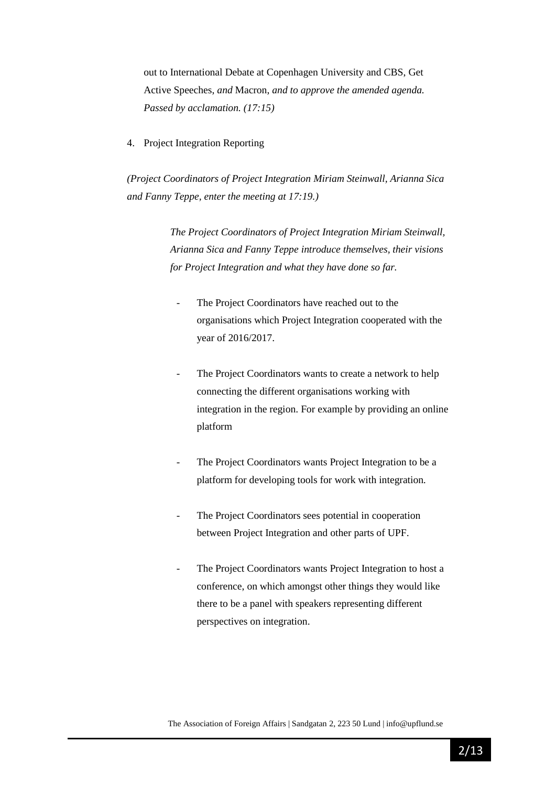out to International Debate at Copenhagen University and CBS, Get Active Speeches, *and* Macron, *and to approve the amended agenda. Passed by acclamation. (17:15)*

4. Project Integration Reporting

*(Project Coordinators of Project Integration Miriam Steinwall, Arianna Sica and Fanny Teppe, enter the meeting at 17:19.)*

> *The Project Coordinators of Project Integration Miriam Steinwall, Arianna Sica and Fanny Teppe introduce themselves, their visions for Project Integration and what they have done so far.*

- The Project Coordinators have reached out to the organisations which Project Integration cooperated with the year of 2016/2017.
- The Project Coordinators wants to create a network to help connecting the different organisations working with integration in the region. For example by providing an online platform
- The Project Coordinators wants Project Integration to be a platform for developing tools for work with integration.
- The Project Coordinators sees potential in cooperation between Project Integration and other parts of UPF.
- The Project Coordinators wants Project Integration to host a conference, on which amongst other things they would like there to be a panel with speakers representing different perspectives on integration.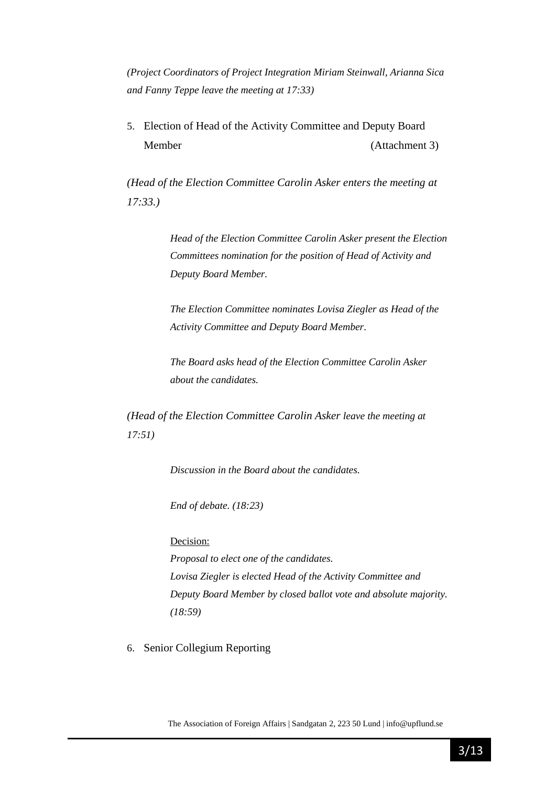*(Project Coordinators of Project Integration Miriam Steinwall, Arianna Sica and Fanny Teppe leave the meeting at 17:33)*

5. Election of Head of the Activity Committee and Deputy Board Member (Attachment 3)

*(Head of the Election Committee Carolin Asker enters the meeting at 17:33.)*

> *Head of the Election Committee Carolin Asker present the Election Committees nomination for the position of Head of Activity and Deputy Board Member.*

*The Election Committee nominates Lovisa Ziegler as Head of the Activity Committee and Deputy Board Member.*

*The Board asks head of the Election Committee Carolin Asker about the candidates.*

*(Head of the Election Committee Carolin Asker leave the meeting at 17:51)*

*Discussion in the Board about the candidates.*

*End of debate. (18:23)*

Decision:

*Proposal to elect one of the candidates. Lovisa Ziegler is elected Head of the Activity Committee and Deputy Board Member by closed ballot vote and absolute majority. (18:59)*

6. Senior Collegium Reporting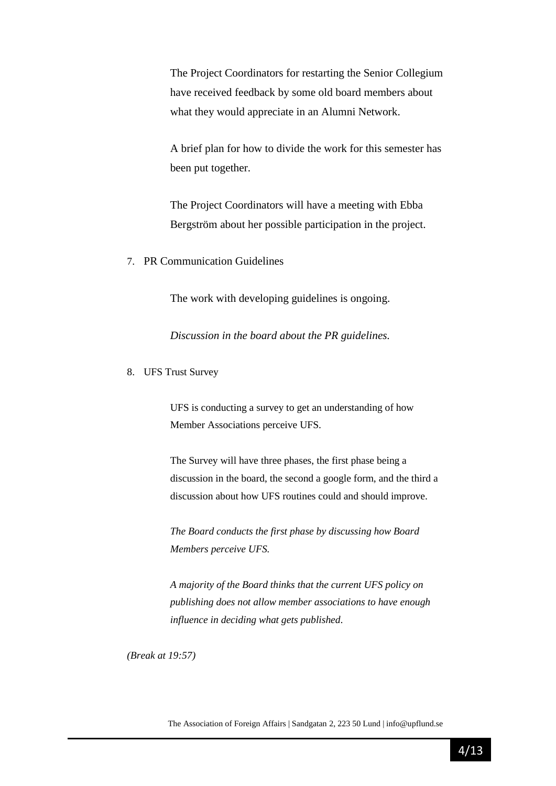The Project Coordinators for restarting the Senior Collegium have received feedback by some old board members about what they would appreciate in an Alumni Network.

A brief plan for how to divide the work for this semester has been put together.

The Project Coordinators will have a meeting with Ebba Bergström about her possible participation in the project.

7. PR Communication Guidelines

The work with developing guidelines is ongoing.

*Discussion in the board about the PR guidelines.*

8. UFS Trust Survey

UFS is conducting a survey to get an understanding of how Member Associations perceive UFS.

The Survey will have three phases, the first phase being a discussion in the board, the second a google form, and the third a discussion about how UFS routines could and should improve.

*The Board conducts the first phase by discussing how Board Members perceive UFS.*

*A majority of the Board thinks that the current UFS policy on publishing does not allow member associations to have enough influence in deciding what gets published.*

*(Break at 19:57)*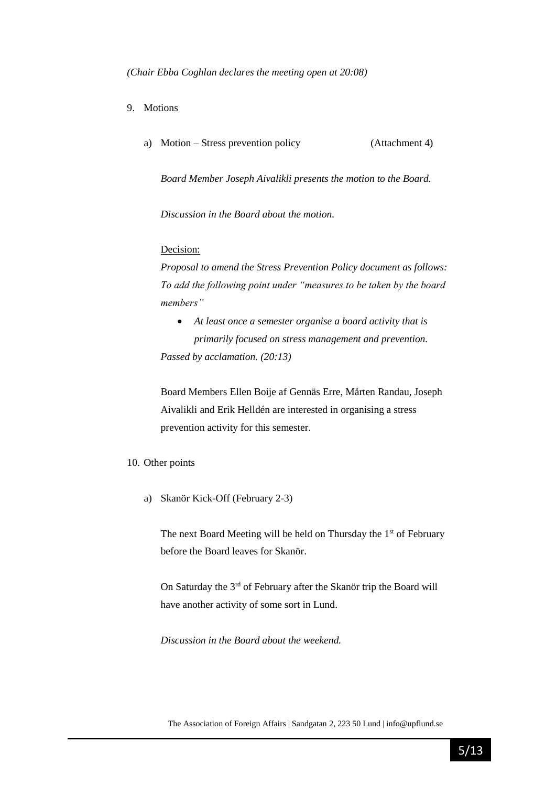*(Chair Ebba Coghlan declares the meeting open at 20:08)*

- 9. Motions
	- a) Motion Stress prevention policy (Attachment 4)

*Board Member Joseph Aivalikli presents the motion to the Board.*

*Discussion in the Board about the motion.*

#### Decision:

*Proposal to amend the Stress Prevention Policy document as follows: To add the following point under "measures to be taken by the board members"*

• *At least once a semester organise a board activity that is primarily focused on stress management and prevention. Passed by acclamation. (20:13)*

Board Members Ellen Boije af Gennäs Erre, Mårten Randau, Joseph Aivalikli and Erik Helldén are interested in organising a stress prevention activity for this semester.

#### 10. Other points

a) Skanör Kick-Off (February 2-3)

The next Board Meeting will be held on Thursday the  $1<sup>st</sup>$  of February before the Board leaves for Skanör.

On Saturday the 3rd of February after the Skanör trip the Board will have another activity of some sort in Lund.

*Discussion in the Board about the weekend.*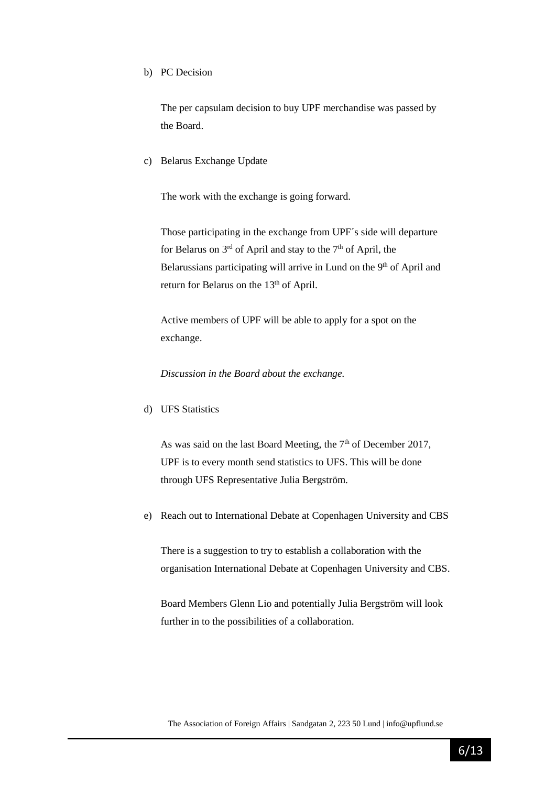b) PC Decision

The per capsulam decision to buy UPF merchandise was passed by the Board.

c) Belarus Exchange Update

The work with the exchange is going forward.

Those participating in the exchange from UPF´s side will departure for Belarus on  $3<sup>rd</sup>$  of April and stay to the  $7<sup>th</sup>$  of April, the Belarussians participating will arrive in Lund on the 9<sup>th</sup> of April and return for Belarus on the 13<sup>th</sup> of April.

Active members of UPF will be able to apply for a spot on the exchange.

*Discussion in the Board about the exchange.* 

d) UFS Statistics

As was said on the last Board Meeting, the  $7<sup>th</sup>$  of December 2017, UPF is to every month send statistics to UFS. This will be done through UFS Representative Julia Bergström.

e) Reach out to International Debate at Copenhagen University and CBS

There is a suggestion to try to establish a collaboration with the organisation International Debate at Copenhagen University and CBS.

Board Members Glenn Lio and potentially Julia Bergström will look further in to the possibilities of a collaboration.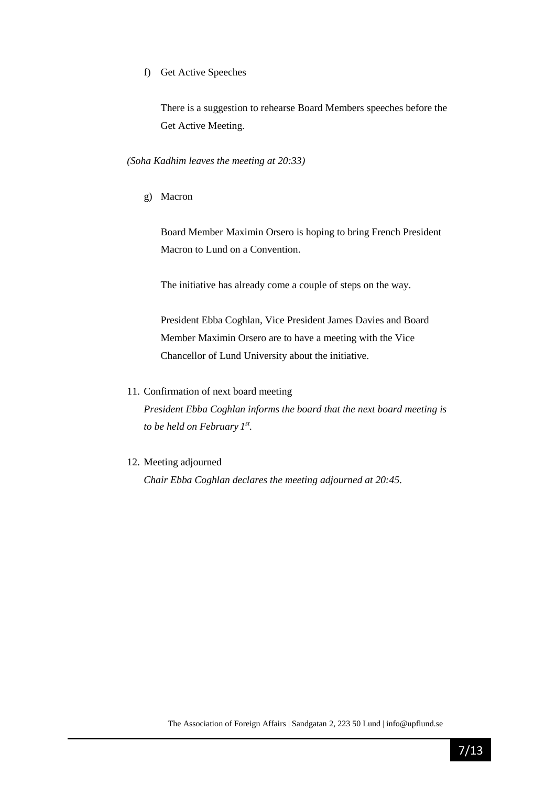f) Get Active Speeches

There is a suggestion to rehearse Board Members speeches before the Get Active Meeting.

*(Soha Kadhim leaves the meeting at 20:33)*

g) Macron

Board Member Maximin Orsero is hoping to bring French President Macron to Lund on a Convention.

The initiative has already come a couple of steps on the way.

President Ebba Coghlan, Vice President James Davies and Board Member Maximin Orsero are to have a meeting with the Vice Chancellor of Lund University about the initiative.

11. Confirmation of next board meeting

*President Ebba Coghlan informs the board that the next board meeting is to be held on February 1 st .*

12. Meeting adjourned

*Chair Ebba Coghlan declares the meeting adjourned at 20:45.*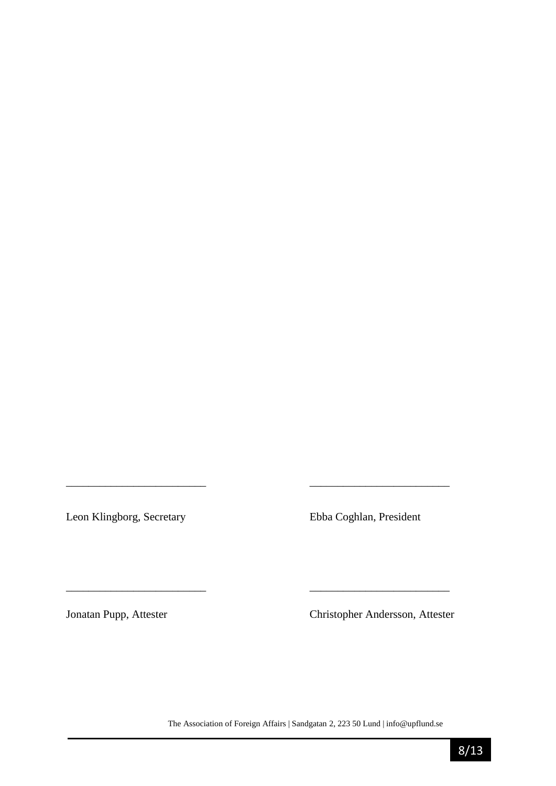Leon Klingborg, Secretary Ebba Coghlan, President

Jonatan Pupp, Attester Christopher Andersson, Attester

The Association of Foreign Affairs | Sandgatan 2, 223 50 Lund | info@upflund.se

*\_\_\_\_\_\_\_\_\_\_\_\_\_\_\_\_\_\_\_\_\_\_\_\_\_ \_\_\_\_\_\_\_\_\_\_\_\_\_\_\_\_\_\_\_\_\_\_\_\_\_* 

\_\_\_\_\_\_\_\_\_\_\_\_\_\_\_\_\_\_\_\_\_\_\_\_\_ \_\_\_\_\_\_\_\_\_\_\_\_\_\_\_\_\_\_\_\_\_\_\_\_\_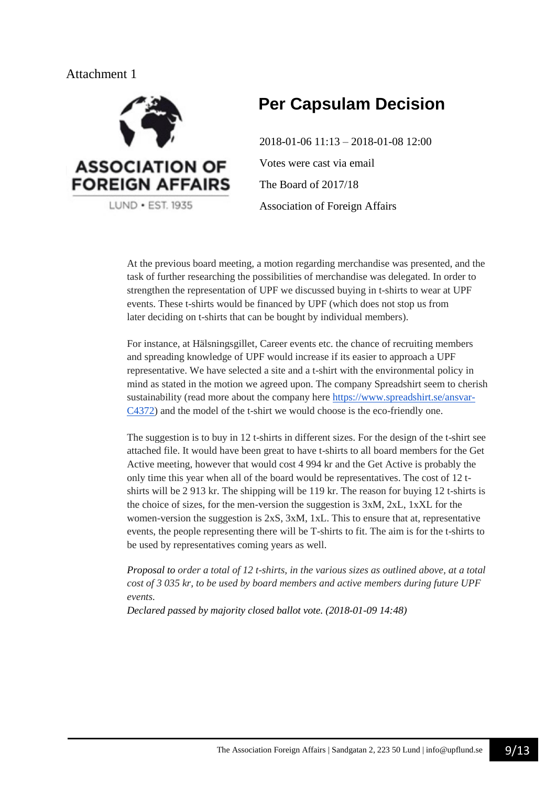

# **Per Capsulam Decision**

2018-01-06 11:13 – 2018-01-08 12:00 Votes were cast via email The Board of 2017/18 Association of Foreign Affairs

At the previous board meeting, a motion regarding merchandise was presented, and the task of further researching the possibilities of merchandise was delegated. In order to strengthen the representation of UPF we discussed buying in t-shirts to wear at UPF events. These t-shirts would be financed by UPF (which does not stop us from later deciding on t-shirts that can be bought by individual members).

For instance, at Hälsningsgillet, Career events etc. the chance of recruiting members and spreading knowledge of UPF would increase if its easier to approach a UPF representative. We have selected a site and a t-shirt with the environmental policy in mind as stated in the motion we agreed upon. The company Spreadshirt seem to cherish sustainability (read more about the company here [https://www.spreadshirt.se/ansvar-](https://www.spreadshirt.se/ansvar-C4372)[C4372\)](https://www.spreadshirt.se/ansvar-C4372) and the model of the t-shirt we would choose is the eco-friendly one.

The suggestion is to buy in 12 t-shirts in different sizes. For the design of the t-shirt see attached file. It would have been great to have t-shirts to all board members for the Get Active meeting, however that would cost 4 994 kr and the Get Active is probably the only time this year when all of the board would be representatives. The cost of 12 tshirts will be 2 913 kr. The shipping will be 119 kr. The reason for buying 12 t-shirts is the choice of sizes, for the men-version the suggestion is 3xM, 2xL, 1xXL for the women-version the suggestion is  $2xS$ ,  $3xM$ ,  $1xL$ . This to ensure that at, representative events, the people representing there will be T-shirts to fit. The aim is for the t-shirts to be used by representatives coming years as well.

*Proposal to order a total of 12 t-shirts, in the various sizes as outlined above, at a total cost of 3 035 kr, to be used by board members and active members during future UPF events.*

*Declared passed by majority closed ballot vote. (2018-01-09 14:48)*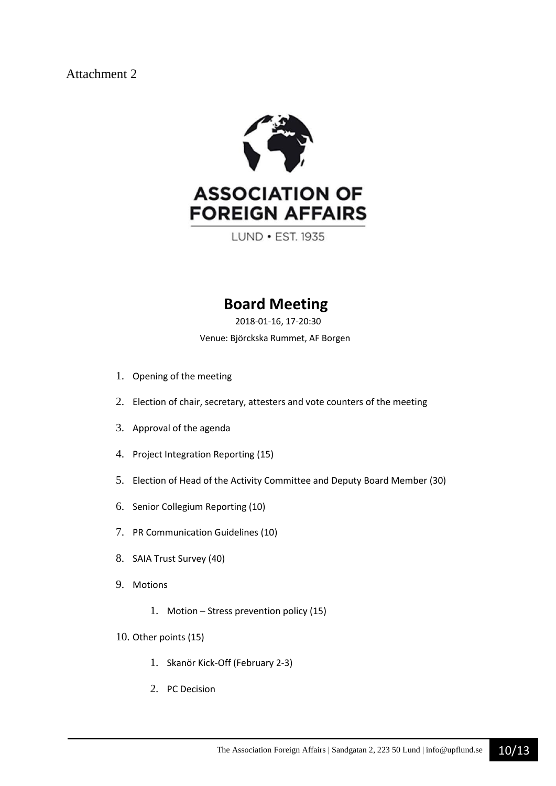

LUND . EST. 1935

# **Board Meeting**

2018-01-16, 17-20:30

Venue: Björckska Rummet, AF Borgen

- 1. Opening of the meeting
- 2. Election of chair, secretary, attesters and vote counters of the meeting
- 3. Approval of the agenda
- 4. Project Integration Reporting (15)
- 5. Election of Head of the Activity Committee and Deputy Board Member (30)
- 6. Senior Collegium Reporting (10)
- 7. PR Communication Guidelines (10)
- 8. SAIA Trust Survey (40)
- 9. Motions
	- 1. Motion Stress prevention policy (15)
- 10. Other points (15)
	- 1. Skanör Kick-Off (February 2-3)
	- 2. PC Decision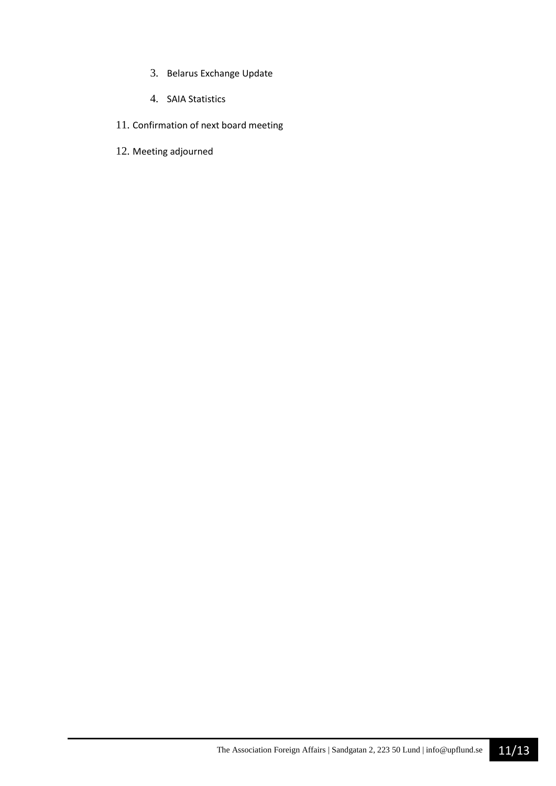- 3. Belarus Exchange Update
- 4. SAIA Statistics
- 11. Confirmation of next board meeting
- 12. Meeting adjourned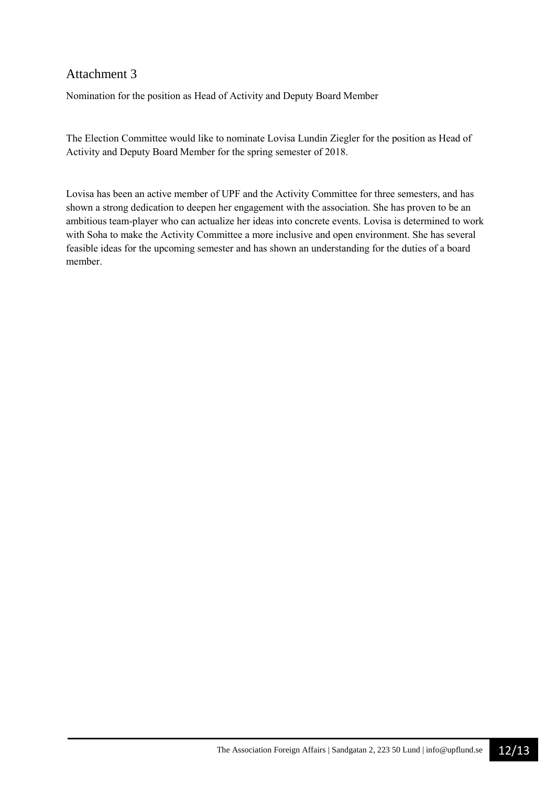Nomination for the position as Head of Activity and Deputy Board Member

The Election Committee would like to nominate Lovisa Lundin Ziegler for the position as Head of Activity and Deputy Board Member for the spring semester of 2018.

Lovisa has been an active member of UPF and the Activity Committee for three semesters, and has shown a strong dedication to deepen her engagement with the association. She has proven to be an ambitious team-player who can actualize her ideas into concrete events. Lovisa is determined to work with Soha to make the Activity Committee a more inclusive and open environment. She has several feasible ideas for the upcoming semester and has shown an understanding for the duties of a board member.